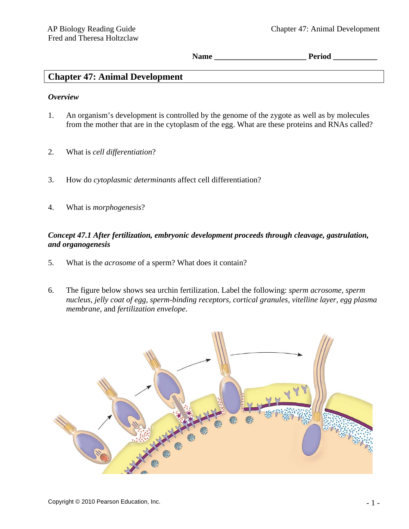Name **Period** 

# **Chapter 47: Animal Development**

### *Overview*

- 1. An organism's development is controlled by the genome of the zygote as well as by molecules from the mother that are in the cytoplasm of the egg. What are these proteins and RNAs called?
- 2. What is *cell differentiation*?
- 3. How do *cytoplasmic determinants* affect cell differentiation?
- 4. What is *morphogenesis*?

## *Concept 47.1 After fertilization, embryonic development proceeds through cleavage, gastrulation, and organogenesis*

- 5. What is the *acrosome* of a sperm? What does it contain?
- 6. The figure below shows sea urchin fertilization. Label the following: *sperm acrosome, sperm nucleus, jelly coat of egg, sperm-binding receptors, cortical granules, vitelline layer, egg plasma membrane*, and *fertilization envelope*.

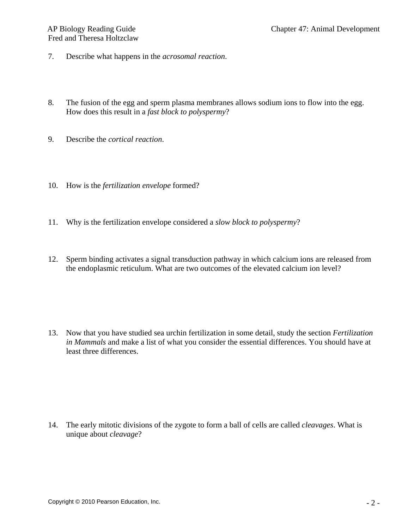- 7. Describe what happens in the *acrosomal reaction*.
- 8. The fusion of the egg and sperm plasma membranes allows sodium ions to flow into the egg. How does this result in a *fast block to polyspermy*?
- 9. Describe the *cortical reaction*.
- 10. How is the *fertilization envelope* formed?
- 11. Why is the fertilization envelope considered a *slow block to polyspermy*?
- 12. Sperm binding activates a signal transduction pathway in which calcium ions are released from the endoplasmic reticulum. What are two outcomes of the elevated calcium ion level?

13. Now that you have studied sea urchin fertilization in some detail, study the section *Fertilization in Mammals* and make a list of what you consider the essential differences. You should have at least three differences.

14. The early mitotic divisions of the zygote to form a ball of cells are called *cleavages*. What is unique about *cleavage*?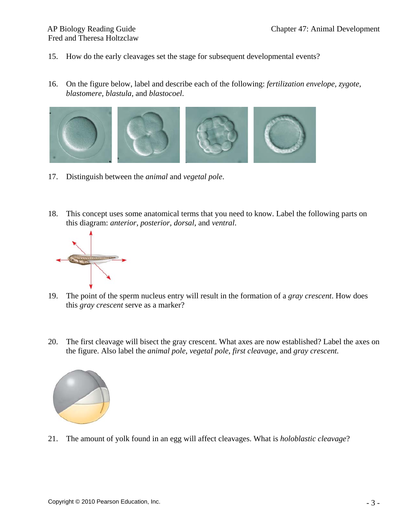- 15. How do the early cleavages set the stage for subsequent developmental events?
- 16. On the figure below, label and describe each of the following: *fertilization envelope, zygote, blastomere, blastula*, and *blastocoel*.



- 17. Distinguish between the *animal* and *vegetal pole*.
- 18. This concept uses some anatomical terms that you need to know. Label the following parts on this diagram: *anterior, posterior, dorsal*, and *ventral*.



- 19. The point of the sperm nucleus entry will result in the formation of a *gray crescent*. How does this *gray crescent* serve as a marker?
- 20. The first cleavage will bisect the gray crescent. What axes are now established? Label the axes on the figure. Also label the *animal pole, vegetal pole, first cleavage*, and *gray crescent.*



21. The amount of yolk found in an egg will affect cleavages. What is *holoblastic cleavage*?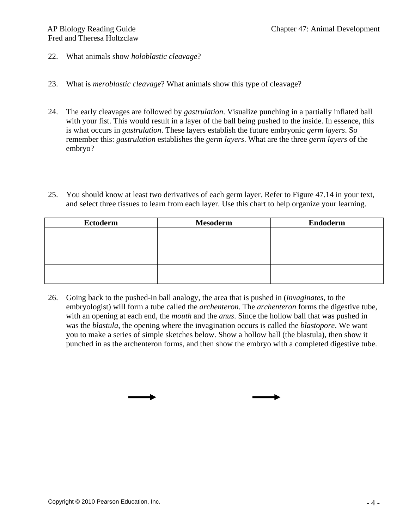- 22. What animals show *holoblastic cleavage*?
- 23. What is *meroblastic cleavage*? What animals show this type of cleavage?
- 24. The early cleavages are followed by *gastrulation*. Visualize punching in a partially inflated ball with your fist. This would result in a layer of the ball being pushed to the inside. In essence, this is what occurs in *gastrulation*. These layers establish the future embryonic *germ layers*. So remember this: *gastrulation* establishes the *germ layers*. What are the three *germ layers* of the embryo?
- 25. You should know at least two derivatives of each germ layer. Refer to Figure 47.14 in your text, and select three tissues to learn from each layer. Use this chart to help organize your learning.

| <b>Ectoderm</b> | <b>Mesoderm</b> | <b>Endoderm</b> |
|-----------------|-----------------|-----------------|
|                 |                 |                 |
|                 |                 |                 |
|                 |                 |                 |
|                 |                 |                 |
|                 |                 |                 |
|                 |                 |                 |

26. Going back to the pushed-in ball analogy, the area that is pushed in (*invaginates*, to the embryologist) will form a tube called the *archenteron*. The *archenteron* forms the digestive tube, with an opening at each end, the *mouth* and the *anus*. Since the hollow ball that was pushed in was the *blastula*, the opening where the invagination occurs is called the *blastopore*. We want you to make a series of simple sketches below. Show a hollow ball (the blastula), then show it punched in as the archenteron forms, and then show the embryo with a completed digestive tube.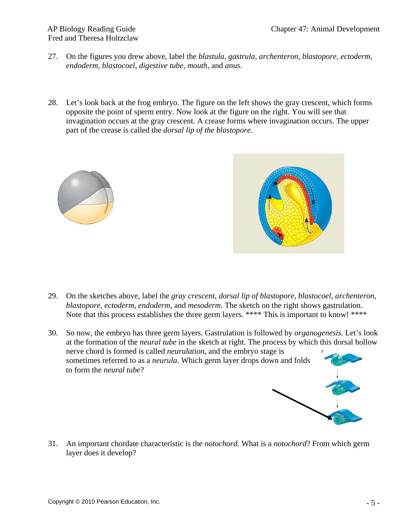# Fred and Theresa Holtzclaw

- 27. On the figures you drew above, label the *blastula, gastrula, archenteron, blastopore, ectoderm, endoderm, blastocoel, digestive tube, mouth*, and *anus*.
- 28. Let's look back at the frog embryo. The figure on the left shows the gray crescent, which forms opposite the point of sperm entry. Now look at the figure on the right. You will see that invagination occurs at the gray crescent. A crease forms where invagination occurs. The upper part of the crease is called the *dorsal lip of the blastopore*.





- 29. On the sketches above, label the *gray crescent, dorsal lip of blastopore, blastocoel, archenteron, blastopore, ectoderm, endoderm*, and *mesoderm*. The sketch on the right shows gastrulation. Note that this process establishes the three germ layers. \*\*\*\* This is important to know! \*\*\*\*
- 30. So now, the embryo has three germ layers. Gastrulation is followed by *organogenesis*. Let's look at the formation of the *neural tube* in the sketch at right. The process by which this dorsal hollow nerve chord is formed is called *neurulation,* and the embryo stage is sometimes referred to as a *neurula*. Which germ layer drops down and folds to form the *neural tube*?

31. An important chordate characteristic is the *notochord*. What is a *notochord*? From which germ layer does it develop?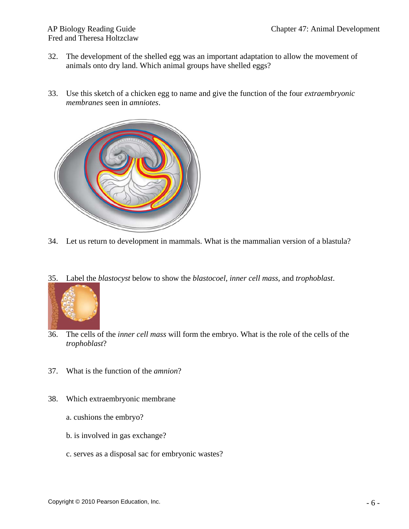- 32. The development of the shelled egg was an important adaptation to allow the movement of animals onto dry land. Which animal groups have shelled eggs?
- 33. Use this sketch of a chicken egg to name and give the function of the four *extraembryonic membranes* seen in *amniotes*.



- 34. Let us return to development in mammals. What is the mammalian version of a blastula?
- 35. Label the *blastocyst* below to show the *blastocoel, inner cell mass*, and *trophoblast*.



- 36. The cells of the *inner cell mass* will form the embryo. What is the role of the cells of the *trophoblast*?
- 37. What is the function of the *amnion*?
- 38. Which extraembryonic membrane
	- a. cushions the embryo?
	- b. is involved in gas exchange?
	- c. serves as a disposal sac for embryonic wastes?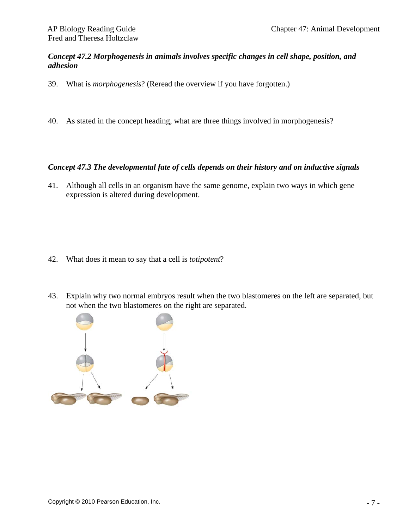### *Concept 47.2 Morphogenesis in animals involves specific changes in cell shape, position, and adhesion*

- 39. What is *morphogenesis*? (Reread the overview if you have forgotten.)
- 40. As stated in the concept heading, what are three things involved in morphogenesis?

## *Concept 47.3 The developmental fate of cells depends on their history and on inductive signals*

41. Although all cells in an organism have the same genome, explain two ways in which gene expression is altered during development.

- 42. What does it mean to say that a cell is *totipotent*?
- 43. Explain why two normal embryos result when the two blastomeres on the left are separated, but not when the two blastomeres on the right are separated.